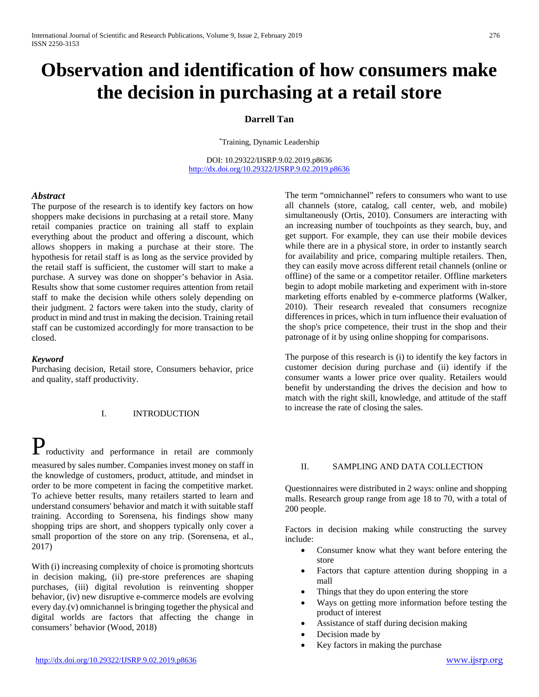# **Observation and identification of how consumers make the decision in purchasing at a retail store**

## **Darrell Tan**

\*Training, Dynamic Leadership

DOI: 10.29322/IJSRP.9.02.2019.p8636 <http://dx.doi.org/10.29322/IJSRP.9.02.2019.p8636>

## *Abstract*

The purpose of the research is to identify key factors on how shoppers make decisions in purchasing at a retail store. Many retail companies practice on training all staff to explain everything about the product and offering a discount, which allows shoppers in making a purchase at their store. The hypothesis for retail staff is as long as the service provided by the retail staff is sufficient, the customer will start to make a purchase. A survey was done on shopper's behavior in Asia. Results show that some customer requires attention from retail staff to make the decision while others solely depending on their judgment. 2 factors were taken into the study, clarity of product in mind and trust in making the decision. Training retail staff can be customized accordingly for more transaction to be closed.

## *Keyword*

Purchasing decision, Retail store, Consumers behavior, price and quality, staff productivity.



#### I. INTRODUCTION

roductivity and performance in retail are commonly measured by sales number. Companies invest money on staff in the knowledge of customers, product, attitude, and mindset in order to be more competent in facing the competitive market. To achieve better results, many retailers started to learn and understand consumers' behavior and match it with suitable staff training. According to Sorensena, his findings show many shopping trips are short, and shoppers typically only cover a small proportion of the store on any trip. (Sorensena, et al., 2017)

With (i) increasing complexity of choice is promoting shortcuts in decision making, (ii) pre-store preferences are shaping purchases, (iii) digital revolution is reinventing shopper behavior, (iv) new disruptive e-commerce models are evolving every day.(v) omnichannel is bringing together the physical and digital worlds are factors that affecting the change in consumers' behavior (Wood, 2018)

The term "omnichannel" refers to consumers who want to use all channels (store, catalog, call center, web, and mobile) simultaneously (Ortis, 2010). Consumers are interacting with an increasing number of touchpoints as they search, buy, and get support. For example, they can use their mobile devices while there are in a physical store, in order to instantly search for availability and price, comparing multiple retailers. Then, they can easily move across different retail channels (online or offline) of the same or a competitor retailer. Offline marketers begin to adopt mobile marketing and experiment with in-store marketing efforts enabled by e-commerce platforms (Walker, 2010). Their research revealed that consumers recognize differences in prices, which in turn influence their evaluation of the shop's price competence, their trust in the shop and their patronage of it by using online shopping for comparisons.

The purpose of this research is (i) to identify the key factors in customer decision during purchase and (ii) identify if the consumer wants a lower price over quality. Retailers would benefit by understanding the drives the decision and how to match with the right skill, knowledge, and attitude of the staff to increase the rate of closing the sales.

## II. SAMPLING AND DATA COLLECTION

Questionnaires were distributed in 2 ways: online and shopping malls. Research group range from age 18 to 70, with a total of 200 people.

Factors in decision making while constructing the survey include:

- Consumer know what they want before entering the store
- Factors that capture attention during shopping in a mall
- Things that they do upon entering the store
- Ways on getting more information before testing the product of interest
- Assistance of staff during decision making
- Decision made by
- Key factors in making the purchase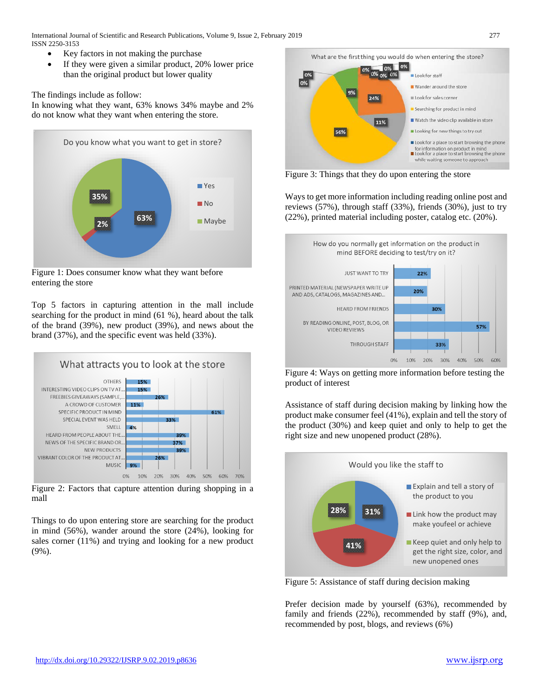- Key factors in not making the purchase
- If they were given a similar product, 20% lower price than the original product but lower quality

The findings include as follow:

In knowing what they want, 63% knows 34% maybe and 2% do not know what they want when entering the store.



Figure 1: Does consumer know what they want before entering the store

Top 5 factors in capturing attention in the mall include searching for the product in mind (61 %), heard about the talk of the brand (39%), new product (39%), and news about the brand (37%), and the specific event was held (33%).



Figure 2: Factors that capture attention during shopping in a mall

Things to do upon entering store are searching for the product in mind (56%), wander around the store (24%), looking for sales corner (11%) and trying and looking for a new product (9%).



Figure 3: Things that they do upon entering the store

Ways to get more information including reading online post and reviews (57%), through staff (33%), friends (30%), just to try (22%), printed material including poster, catalog etc. (20%).



Figure 4: Ways on getting more information before testing the product of interest

Assistance of staff during decision making by linking how the product make consumer feel (41%), explain and tell the story of the product (30%) and keep quiet and only to help to get the right size and new unopened product (28%).



Figure 5: Assistance of staff during decision making

Prefer decision made by yourself (63%), recommended by family and friends (22%), recommended by staff (9%), and, recommended by post, blogs, and reviews (6%)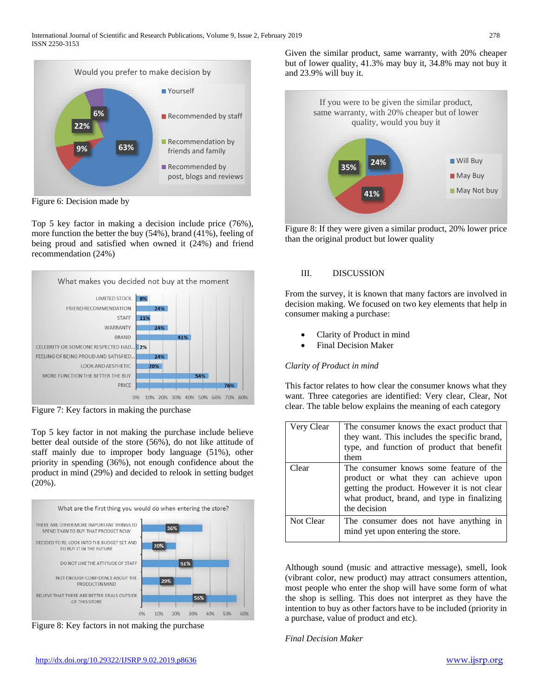

Figure 6: Decision made by

Top 5 key factor in making a decision include price (76%), more function the better the buy (54%), brand (41%), feeling of being proud and satisfied when owned it (24%) and friend recommendation (24%)



Figure 7: Key factors in making the purchase

Top 5 key factor in not making the purchase include believe better deal outside of the store (56%), do not like attitude of staff mainly due to improper body language (51%), other priority in spending (36%), not enough confidence about the product in mind (29%) and decided to relook in setting budget (20%).



Figure 8: Key factors in not making the purchase

Given the similar product, same warranty, with 20% cheaper but of lower quality, 41.3% may buy it, 34.8% may not buy it and 23.9% will buy it.



Figure 8: If they were given a similar product, 20% lower price than the original product but lower quality

## III. DISCUSSION

From the survey, it is known that many factors are involved in decision making. We focused on two key elements that help in consumer making a purchase:

- Clarity of Product in mind
- Final Decision Maker

# *Clarity of Product in mind*

This factor relates to how clear the consumer knows what they want. Three categories are identified: Very clear, Clear, Not clear. The table below explains the meaning of each category

| Very Clear | The consumer knows the exact product that<br>they want. This includes the specific brand,<br>type, and function of product that benefit<br>them                                                |
|------------|------------------------------------------------------------------------------------------------------------------------------------------------------------------------------------------------|
| Clear      | The consumer knows some feature of the<br>product or what they can achieve upon<br>getting the product. However it is not clear<br>what product, brand, and type in finalizing<br>the decision |
| Not Clear  | The consumer does not have anything in<br>mind yet upon entering the store.                                                                                                                    |

Although sound (music and attractive message), smell, look (vibrant color, new product) may attract consumers attention, most people who enter the shop will have some form of what the shop is selling. This does not interpret as they have the intention to buy as other factors have to be included (priority in a purchase, value of product and etc).

*Final Decision Maker*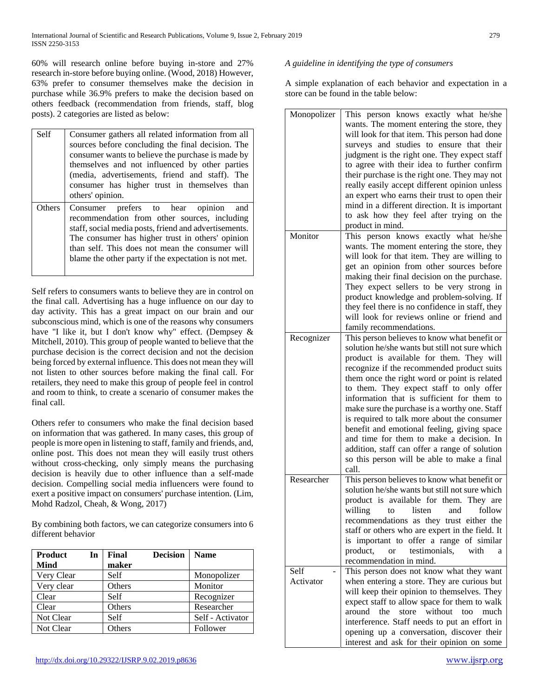60% will research online before buying in-store and 27% research in-store before buying online. (Wood, 2018) However, 63% prefer to consumer themselves make the decision in purchase while 36.9% prefers to make the decision based on others feedback (recommendation from friends, staff, blog posts). 2 categories are listed as below:

| Self          | Consumer gathers all related information from all<br>sources before concluding the final decision. The<br>consumer wants to believe the purchase is made by<br>themselves and not influenced by other parties<br>(media, advertisements, friend and staff). The<br>consumer has higher trust in themselves than<br>others' opinion. |
|---------------|-------------------------------------------------------------------------------------------------------------------------------------------------------------------------------------------------------------------------------------------------------------------------------------------------------------------------------------|
| <b>Others</b> | Consumer prefers to hear opinion<br>and<br>recommendation from other sources, including<br>staff, social media posts, friend and advertisements.<br>The consumer has higher trust in others' opinion<br>than self. This does not mean the consumer will<br>blame the other party if the expectation is not met.                     |

Self refers to consumers wants to believe they are in control on the final call. Advertising has a huge influence on our day to day activity. This has a great impact on our brain and our subconscious mind, which is one of the reasons why consumers have "I like it, but I don't know why" effect. (Dempsey & Mitchell, 2010). This group of people wanted to believe that the purchase decision is the correct decision and not the decision being forced by external influence. This does not mean they will not listen to other sources before making the final call. For retailers, they need to make this group of people feel in control and room to think, to create a scenario of consumer makes the final call.

Others refer to consumers who make the final decision based on information that was gathered. In many cases, this group of people is more open in listening to staff, family and friends, and, online post. This does not mean they will easily trust others without cross-checking, only simply means the purchasing decision is heavily due to other influence than a self-made decision. Compelling social media influencers were found to exert a positive impact on consumers' purchase intention. (Lim, Mohd Radzol, Cheah, & Wong, 2017)

By combining both factors, we can categorize consumers into 6 different behavior

| <b>Product</b><br>In | Final  | <b>Decision</b> | <b>Name</b>      |
|----------------------|--------|-----------------|------------------|
| <b>Mind</b>          | maker  |                 |                  |
| Very Clear           | Self   |                 | Monopolizer      |
| Very clear           | Others |                 | Monitor          |
| Clear                | Self   |                 | Recognizer       |
| Clear                | Others |                 | Researcher       |
| Not Clear            | Self   |                 | Self - Activator |
| Not Clear            | Others |                 | Follower         |

## *A guideline in identifying the type of consumers*

A simple explanation of each behavior and expectation in a store can be found in the table below:

| Monopolizer | This person knows exactly what he/she           |
|-------------|-------------------------------------------------|
|             | wants. The moment entering the store, they      |
|             | will look for that item. This person had done   |
|             | surveys and studies to ensure that their        |
|             | judgment is the right one. They expect staff    |
|             | to agree with their idea to further confirm     |
|             | their purchase is the right one. They may not   |
|             | really easily accept different opinion unless   |
|             | an expert who earns their trust to open their   |
|             |                                                 |
|             | mind in a different direction. It is important  |
|             | to ask how they feel after trying on the        |
|             | product in mind.                                |
| Monitor     | This person knows exactly what he/she           |
|             | wants. The moment entering the store, they      |
|             | will look for that item. They are willing to    |
|             | get an opinion from other sources before        |
|             | making their final decision on the purchase.    |
|             | They expect sellers to be very strong in        |
|             | product knowledge and problem-solving. If       |
|             |                                                 |
|             | they feel there is no confidence in staff, they |
|             | will look for reviews online or friend and      |
|             | family recommendations.                         |
| Recognizer  | This person believes to know what benefit or    |
|             | solution he/she wants but still not sure which  |
|             | product is available for them. They will        |
|             | recognize if the recommended product suits      |
|             | them once the right word or point is related    |
|             | to them. They expect staff to only offer        |
|             |                                                 |
|             | information that is sufficient for them to      |
|             | make sure the purchase is a worthy one. Staff   |
|             | is required to talk more about the consumer     |
|             | benefit and emotional feeling, giving space     |
|             | and time for them to make a decision. In        |
|             | addition, staff can offer a range of solution   |
|             | so this person will be able to make a final     |
|             | call.                                           |
| Researcher  | This person believes to know what benefit or    |
|             | solution he/she wants but still not sure which  |
|             |                                                 |
|             | product is available for them. They are         |
|             | listen<br>follow<br>willing<br>and<br>to to     |
|             | recommendations as they trust either the        |
|             | staff or others who are expert in the field. It |
|             | is important to offer a range of similar        |
|             | or testimonials,<br>product,<br>with<br>a       |
|             | recommendation in mind.                         |
| Self        | This person does not know what they want        |
| Activator   | when entering a store. They are curious but     |
|             | will keep their opinion to themselves. They     |
|             |                                                 |
|             | expect staff to allow space for them to walk    |
|             | around the store without too<br>much            |
|             | interference. Staff needs to put an effort in   |
|             | opening up a conversation, discover their       |
|             | interest and ask for their opinion on some      |